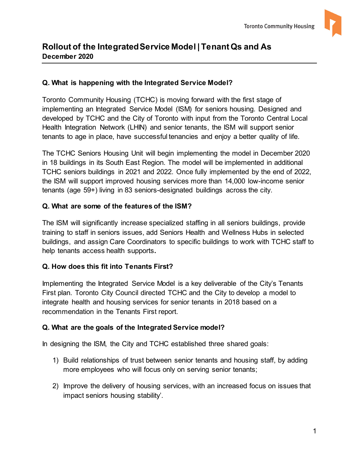

# **Rollout of the Integrated Service Model | Tenant Qs and As December 2020**

#### **Q. What is happening with the Integrated Service Model?**

Toronto Community Housing (TCHC) is moving forward with the first stage of implementing an Integrated Service Model (ISM) for seniors housing. Designed and developed by TCHC and the City of Toronto with input from the Toronto Central Local Health Integration Network (LHIN) and senior tenants, the ISM will support senior tenants to age in place, have successful tenancies and enjoy a better quality of life.

The TCHC Seniors Housing Unit will begin implementing the model in December 2020 in 18 buildings in its South East Region. The model will be implemented in additional TCHC seniors buildings in 2021 and 2022. Once fully implemented by the end of 2022, the ISM will support improved housing services more than 14,000 low-income senior tenants (age 59+) living in 83 seniors-designated buildings across the city.

#### **Q. What are some of the features of the ISM?**

The ISM will significantly increase specialized staffing in all seniors buildings, provide training to staff in seniors issues, add Seniors Health and Wellness Hubs in selected buildings, and assign Care Coordinators to specific buildings to work with TCHC staff to help tenants access health supports**.**

## **Q. How does this fit into Tenants First?**

Implementing the Integrated Service Model is a key deliverable of the City's Tenants First plan. Toronto City Council directed TCHC and the City to develop a model to integrate health and housing services for senior tenants in 2018 based on a recommendation in the Tenants First report.

## **Q. What are the goals of the Integrated Service model?**

In designing the ISM, the City and TCHC established three shared goals:

- 1) Build relationships of trust between senior tenants and housing staff, by adding more employees who will focus only on serving senior tenants;
- 2) Improve the delivery of housing services, with an increased focus on issues that impact seniors housing stability'.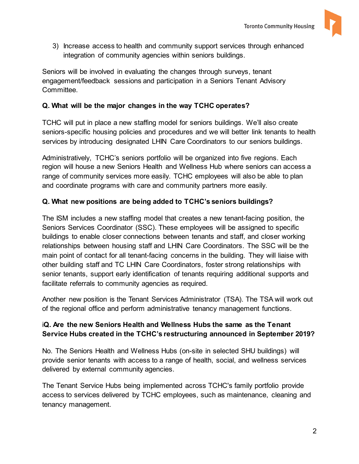

3) Increase access to health and community support services through enhanced integration of community agencies within seniors buildings.

Seniors will be involved in evaluating the changes through surveys, tenant engagement/feedback sessions and participation in a Seniors Tenant Advisory Committee.

# **Q. What will be the major changes in the way TCHC operates?**

TCHC will put in place a new staffing model for seniors buildings. We'll also create seniors-specific housing policies and procedures and we will better link tenants to health services by introducing designated LHIN Care Coordinators to our seniors buildings.

Administratively, TCHC's seniors portfolio will be organized into five regions. Each region will house a new Seniors Health and Wellness Hub where seniors can access a range of community services more easily. TCHC employees will also be able to plan and coordinate programs with care and community partners more easily.

## **Q. What new positions are being added to TCHC's seniors buildings?**

The ISM includes a new staffing model that creates a new tenant-facing position, the Seniors Services Coordinator (SSC). These employees will be assigned to specific buildings to enable closer connections between tenants and staff, and closer working relationships between housing staff and LHIN Care Coordinators. The SSC will be the main point of contact for all tenant-facing concerns in the building. They will liaise with other building staff and TC LHIN Care Coordinators, foster strong relationships with senior tenants, support early identification of tenants requiring additional supports and facilitate referrals to community agencies as required.

Another new position is the Tenant Services Administrator (TSA). The TSA will work out of the regional office and perform administrative tenancy management functions.

# i**Q. Are the new Seniors Health and Wellness Hubs the same as the Tenant Service Hubs created in the TCHC's restructuring announced in September 2019?**

No. The Seniors Health and Wellness Hubs (on-site in selected SHU buildings) will provide senior tenants with access to a range of health, social, and wellness services delivered by external community agencies.

The Tenant Service Hubs being implemented across TCHC's family portfolio provide access to services delivered by TCHC employees, such as maintenance, cleaning and tenancy management.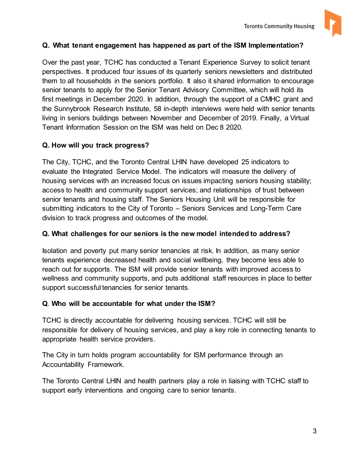

# **Q. What tenant engagement has happened as part of the ISM Implementation?**

Over the past year, TCHC has conducted a Tenant Experience Survey to solicit tenant perspectives. It produced four issues of its quarterly seniors newsletters and distributed them to all households in the seniors portfolio. It also it shared information to encourage senior tenants to apply for the Senior Tenant Advisory Committee, which will hold its first meetings in December 2020. In addition, through the support of a CMHC grant and the Sunnybrook Research Institute, 58 in-depth interviews were held with senior tenants living in seniors buildings between November and December of 2019. Finally, a Virtual Tenant Information Session on the ISM was held on Dec 8 2020.

# **Q. How will you track progress?**

The City, TCHC, and the Toronto Central LHIN have developed 25 indicators to evaluate the Integrated Service Model. The indicators will measure the delivery of housing services with an increased focus on issues impacting seniors housing stability; access to health and community support services; and relationships of trust between senior tenants and housing staff. The Seniors Housing Unit will be responsible for submitting indicators to the City of Toronto – Seniors Services and Long-Term Care division to track progress and outcomes of the model.

## **Q. What challenges for our seniors is the new model intended to address?**

Isolation and poverty put many senior tenancies at risk. In addition, as many senior tenants experience decreased health and social wellbeing, they become less able to reach out for supports. The ISM will provide senior tenants with improved access to wellness and community supports, and puts additional staff resources in place to better support successful tenancies for senior tenants.

## **Q**. **Who will be accountable for what under the ISM?**

TCHC is directly accountable for delivering housing services. TCHC will still be responsible for delivery of housing services, and play a key role in connecting tenants to appropriate health service providers.

The City in turn holds program accountability for ISM performance through an Accountability Framework.

The Toronto Central LHIN and health partners play a role in liaising with TCHC staff to support early interventions and ongoing care to senior tenants.